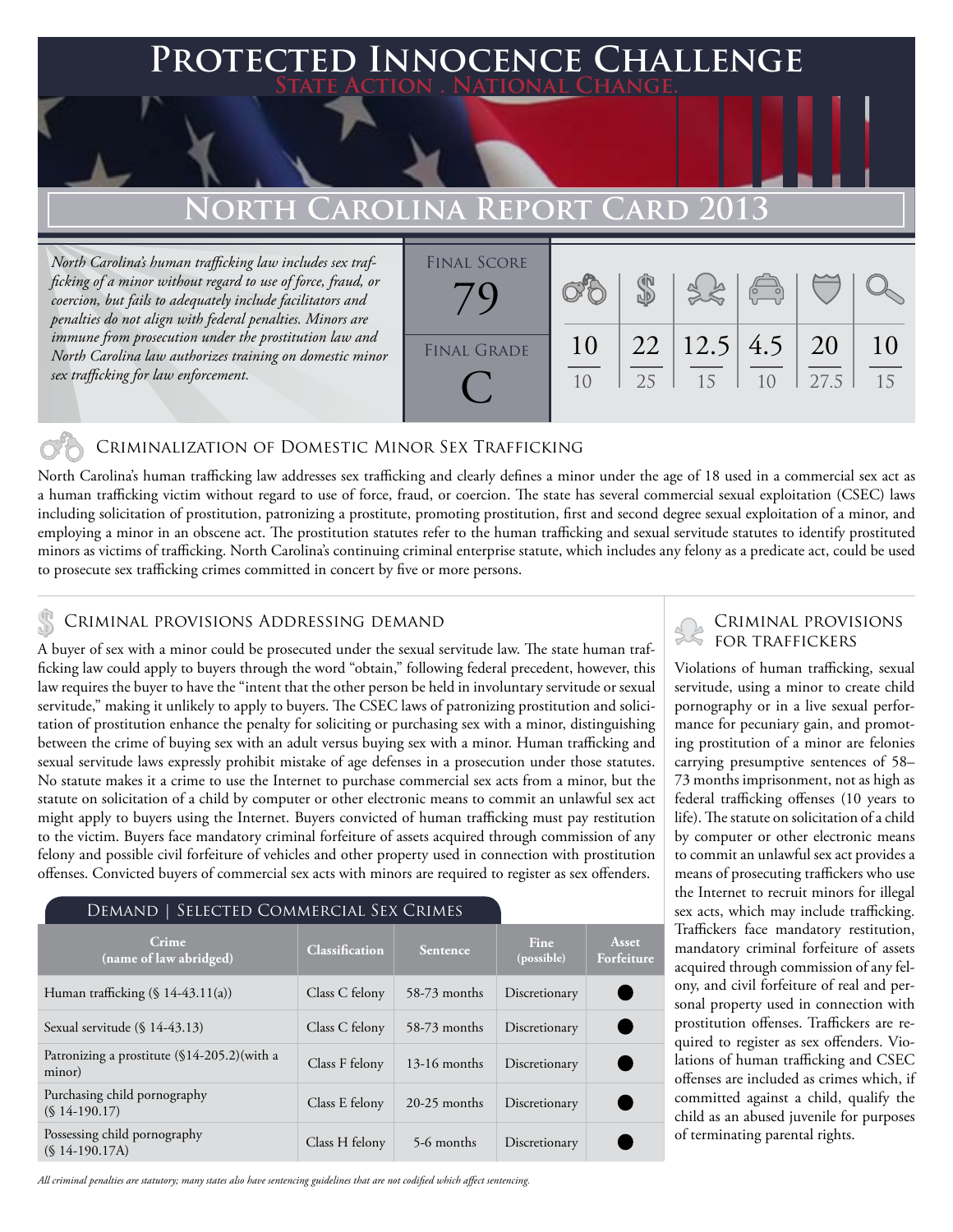### **FED INNOCENCE CHALLENGE State Action . National Change.**

## **North Carolina Report Card 2013**

*North Carolina's human trafficking law includes sex trafficking of a minor without regard to use of force, fraud, or coercion, but fails to adequately include facilitators and penalties do not align with federal penalties. Minors are immune from prosecution under the prostitution law and North Carolina law authorizes training on domestic minor sex trafficking for law enforcement.*



#### Criminalization of Domestic Minor Sex Trafficking

North Carolina's human trafficking law addresses sex trafficking and clearly defines a minor under the age of 18 used in a commercial sex act as a human trafficking victim without regard to use of force, fraud, or coercion. The state has several commercial sexual exploitation (CSEC) laws including solicitation of prostitution, patronizing a prostitute, promoting prostitution, first and second degree sexual exploitation of a minor, and employing a minor in an obscene act. The prostitution statutes refer to the human trafficking and sexual servitude statutes to identify prostituted minors as victims of trafficking. North Carolina's continuing criminal enterprise statute, which includes any felony as a predicate act, could be used to prosecute sex trafficking crimes committed in concert by five or more persons.

## CRIMINAL PROVISIONS ADDRESSING DEMAND<br>
FOR TRAFFICKERS

A buyer of sex with a minor could be prosecuted under the sexual servitude law. The state human trafficking law could apply to buyers through the word "obtain," following federal precedent, however, this law requires the buyer to have the "intent that the other person be held in involuntary servitude or sexual servitude," making it unlikely to apply to buyers. The CSEC laws of patronizing prostitution and solicitation of prostitution enhance the penalty for soliciting or purchasing sex with a minor, distinguishing between the crime of buying sex with an adult versus buying sex with a minor. Human trafficking and sexual servitude laws expressly prohibit mistake of age defenses in a prosecution under those statutes. No statute makes it a crime to use the Internet to purchase commercial sex acts from a minor, but the statute on solicitation of a child by computer or other electronic means to commit an unlawful sex act might apply to buyers using the Internet. Buyers convicted of human trafficking must pay restitution to the victim. Buyers face mandatory criminal forfeiture of assets acquired through commission of any felony and possible civil forfeiture of vehicles and other property used in connection with prostitution offenses. Convicted buyers of commercial sex acts with minors are required to register as sex offenders.

#### Demand | Selected Commercial Sex Crimes

| Crime<br>(name of law abridged)                           | <b>Classification</b> | Sentence       | <b>Fine</b><br>(possible) | Asset<br>Forfeiture |
|-----------------------------------------------------------|-----------------------|----------------|---------------------------|---------------------|
| Human trafficking $(\S 14-43.11(a))$                      | Class C felony        | 58-73 months   | Discretionary             |                     |
| Sexual servitude $(\S 14-43.13)$                          | Class C felony        | 58-73 months   | Discretionary             |                     |
| Patronizing a prostitute $(\$14-205.2)$ (with a<br>minor) | Class F felony        | $13-16$ months | Discretionary             |                     |
| Purchasing child pornography<br>$(S14-190.17)$            | Class E felony        | $20-25$ months | Discretionary             |                     |
| Possessing child pornography<br>$(S14-190.17A)$           | Class H felony        | 5-6 months     | Discretionary             |                     |

*All criminal penalties are statutory; many states also have sentencing guidelines that are not codified which affect sentencing.* 

# Criminal provisions

Violations of human trafficking, sexual servitude, using a minor to create child pornography or in a live sexual performance for pecuniary gain, and promoting prostitution of a minor are felonies carrying presumptive sentences of 58– 73 months imprisonment, not as high as federal trafficking offenses (10 years to life). The statute on solicitation of a child by computer or other electronic means to commit an unlawful sex act provides a means of prosecuting traffickers who use the Internet to recruit minors for illegal sex acts, which may include trafficking. Traffickers face mandatory restitution, mandatory criminal forfeiture of assets acquired through commission of any felony, and civil forfeiture of real and personal property used in connection with prostitution offenses. Traffickers are required to register as sex offenders. Violations of human trafficking and CSEC offenses are included as crimes which, if committed against a child, qualify the child as an abused juvenile for purposes of terminating parental rights.